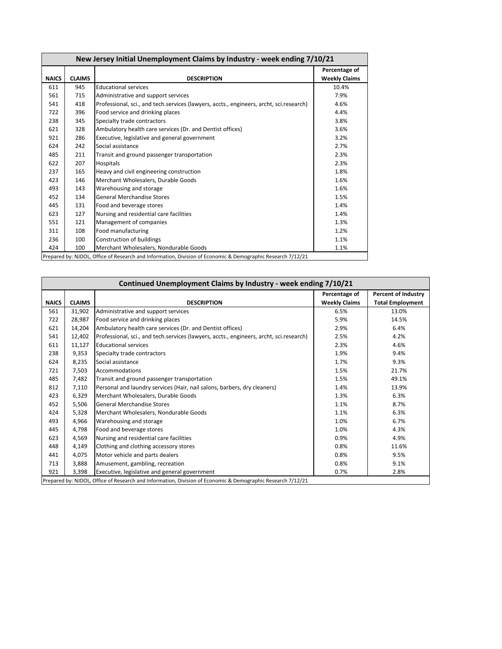| New Jersey Initial Unemployment Claims by Industry - week ending 7/10/21                                    |               |                                                                                         |                      |  |  |  |
|-------------------------------------------------------------------------------------------------------------|---------------|-----------------------------------------------------------------------------------------|----------------------|--|--|--|
|                                                                                                             |               |                                                                                         | Percentage of        |  |  |  |
| <b>NAICS</b>                                                                                                | <b>CLAIMS</b> | <b>DESCRIPTION</b>                                                                      | <b>Weekly Claims</b> |  |  |  |
| 611                                                                                                         | 945           | <b>Educational services</b>                                                             | 10.4%                |  |  |  |
| 561                                                                                                         | 715           | Administrative and support services                                                     | 7.9%                 |  |  |  |
| 541                                                                                                         | 418           | Professional, sci., and tech.services (lawyers, accts., engineers, archt, sci.research) | 4.6%                 |  |  |  |
| 722                                                                                                         | 396           | Food service and drinking places                                                        | 4.4%                 |  |  |  |
| 238                                                                                                         | 345           | Specialty trade contractors                                                             | 3.8%                 |  |  |  |
| 621                                                                                                         | 328           | Ambulatory health care services (Dr. and Dentist offices)                               | 3.6%                 |  |  |  |
| 921                                                                                                         | 286           | Executive, legislative and general government                                           | 3.2%                 |  |  |  |
| 624                                                                                                         | 242           | Social assistance                                                                       | 2.7%                 |  |  |  |
| 485                                                                                                         | 211           | Transit and ground passenger transportation                                             | 2.3%                 |  |  |  |
| 622                                                                                                         | 207           | Hospitals                                                                               | 2.3%                 |  |  |  |
| 237                                                                                                         | 165           | Heavy and civil engineering construction                                                | 1.8%                 |  |  |  |
| 423                                                                                                         | 146           | Merchant Wholesalers, Durable Goods                                                     | 1.6%                 |  |  |  |
| 493                                                                                                         | 143           | Warehousing and storage                                                                 | 1.6%                 |  |  |  |
| 452                                                                                                         | 134           | <b>General Merchandise Stores</b>                                                       | 1.5%                 |  |  |  |
| 445                                                                                                         | 131           | Food and beverage stores                                                                | 1.4%                 |  |  |  |
| 623                                                                                                         | 127           | Nursing and residential care facilities                                                 | 1.4%                 |  |  |  |
| 551                                                                                                         | 121           | Management of companies                                                                 | 1.3%                 |  |  |  |
| 311                                                                                                         | 108           | Food manufacturing                                                                      | 1.2%                 |  |  |  |
| 236                                                                                                         | 100           | Construction of buildings                                                               | 1.1%                 |  |  |  |
| 424                                                                                                         | 100           | Merchant Wholesalers, Nondurable Goods                                                  | 1.1%                 |  |  |  |
| Prepared by: NJDOL, Office of Research and Information, Division of Economic & Demographic Research 7/12/21 |               |                                                                                         |                      |  |  |  |

| Continued Unemployment Claims by Industry - week ending 7/10/21                                             |                                                                        |                                                                                         |                      |                            |  |  |  |
|-------------------------------------------------------------------------------------------------------------|------------------------------------------------------------------------|-----------------------------------------------------------------------------------------|----------------------|----------------------------|--|--|--|
|                                                                                                             |                                                                        |                                                                                         | Percentage of        | <b>Percent of Industry</b> |  |  |  |
| <b>NAICS</b>                                                                                                | <b>CLAIMS</b>                                                          | <b>DESCRIPTION</b>                                                                      | <b>Weekly Claims</b> | <b>Total Employment</b>    |  |  |  |
| 561                                                                                                         | 31,902                                                                 | Administrative and support services                                                     | 6.5%                 | 13.0%                      |  |  |  |
| 722                                                                                                         | 28,987                                                                 | Food service and drinking places                                                        | 5.9%                 | 14.5%                      |  |  |  |
| 621                                                                                                         | 14,204                                                                 | Ambulatory health care services (Dr. and Dentist offices)                               | 2.9%                 | 6.4%                       |  |  |  |
| 541                                                                                                         | 12,402                                                                 | Professional, sci., and tech.services (lawyers, accts., engineers, archt, sci.research) | 2.5%                 | 4.2%                       |  |  |  |
| 611                                                                                                         | 11,127                                                                 | <b>Educational services</b>                                                             | 2.3%                 | 4.6%                       |  |  |  |
| 238                                                                                                         | 9,353                                                                  | Specialty trade contractors                                                             | 1.9%                 | 9.4%                       |  |  |  |
| 624                                                                                                         | 8,235                                                                  | Social assistance                                                                       | 1.7%                 | 9.3%                       |  |  |  |
| 721                                                                                                         | 7,503                                                                  | Accommodations                                                                          | 1.5%                 | 21.7%                      |  |  |  |
| 485                                                                                                         | 7,482                                                                  | Transit and ground passenger transportation                                             | 1.5%                 | 49.1%                      |  |  |  |
| 812                                                                                                         | 7,110                                                                  | Personal and laundry services (Hair, nail salons, barbers, dry cleaners)                | 1.4%                 | 13.9%                      |  |  |  |
| 423                                                                                                         | 6,329                                                                  | Merchant Wholesalers, Durable Goods                                                     | 1.3%                 | 6.3%                       |  |  |  |
| 452                                                                                                         | 5,506                                                                  | <b>General Merchandise Stores</b>                                                       | 1.1%                 | 8.7%                       |  |  |  |
| 424                                                                                                         | 5,328                                                                  | Merchant Wholesalers, Nondurable Goods                                                  | 1.1%                 | 6.3%                       |  |  |  |
| 493                                                                                                         | 4,966                                                                  | Warehousing and storage                                                                 | 1.0%                 | 6.7%                       |  |  |  |
| 445                                                                                                         | 4,798                                                                  | Food and beverage stores                                                                | 1.0%                 | 4.3%                       |  |  |  |
| 623                                                                                                         | 4,569                                                                  | Nursing and residential care facilities                                                 | 0.9%                 | 4.9%                       |  |  |  |
| 448                                                                                                         | 4,149                                                                  | Clothing and clothing accessory stores                                                  | 0.8%                 | 11.6%                      |  |  |  |
| 441                                                                                                         | 4,075                                                                  | Motor vehicle and parts dealers                                                         | 0.8%                 | 9.5%                       |  |  |  |
| 713                                                                                                         | 3,888                                                                  | Amusement, gambling, recreation                                                         | 0.8%                 | 9.1%                       |  |  |  |
| 921                                                                                                         | 3.398<br>Executive, legislative and general government<br>0.7%<br>2.8% |                                                                                         |                      |                            |  |  |  |
| Prepared by: NJDOL, Office of Research and Information, Division of Economic & Demographic Research 7/12/21 |                                                                        |                                                                                         |                      |                            |  |  |  |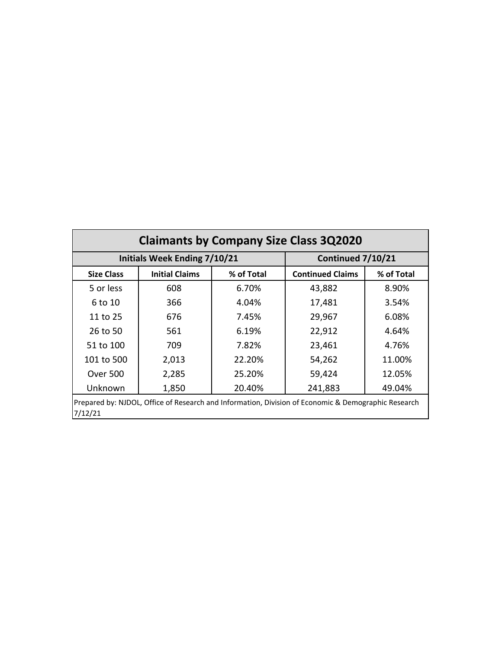| <b>Claimants by Company Size Class 3Q2020</b>                                                                  |                                     |                   |                         |            |  |  |  |
|----------------------------------------------------------------------------------------------------------------|-------------------------------------|-------------------|-------------------------|------------|--|--|--|
|                                                                                                                | <b>Initials Week Ending 7/10/21</b> | Continued 7/10/21 |                         |            |  |  |  |
| <b>Size Class</b>                                                                                              | <b>Initial Claims</b><br>% of Total |                   | <b>Continued Claims</b> | % of Total |  |  |  |
| 5 or less                                                                                                      | 608                                 | 6.70%             | 43,882                  | 8.90%      |  |  |  |
| 6 to 10                                                                                                        | 366                                 | 4.04%             | 17,481                  | 3.54%      |  |  |  |
| 11 to 25                                                                                                       | 676                                 | 7.45%             | 29,967                  | 6.08%      |  |  |  |
| 26 to 50                                                                                                       | 561                                 | 6.19%             | 22,912                  | 4.64%      |  |  |  |
| 51 to 100                                                                                                      | 709                                 | 7.82%             | 23,461                  | 4.76%      |  |  |  |
| 101 to 500                                                                                                     | 2,013                               | 22.20%            | 54,262                  | 11.00%     |  |  |  |
| <b>Over 500</b>                                                                                                | 2,285                               | 25.20%            | 59,424                  | 12.05%     |  |  |  |
| Unknown                                                                                                        | 1,850                               | 20.40%            | 241,883                 | 49.04%     |  |  |  |
| Prepared by: NJDOL, Office of Research and Information, Division of Economic & Demographic Research<br>7/12/21 |                                     |                   |                         |            |  |  |  |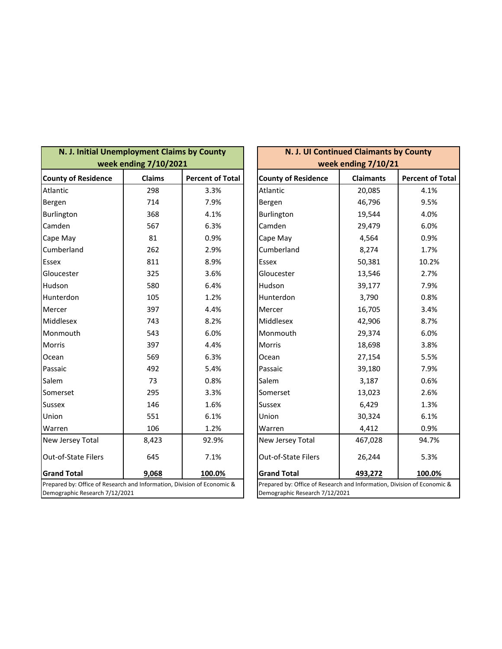| N. J. Initial Unemployment Claims by County                                                               | week ending 7/10/2021 |                         | N. J. UI Continued Claimants by County<br>week ending 7/10/21                                             |                  |                         |
|-----------------------------------------------------------------------------------------------------------|-----------------------|-------------------------|-----------------------------------------------------------------------------------------------------------|------------------|-------------------------|
| <b>County of Residence</b>                                                                                | <b>Claims</b>         | <b>Percent of Total</b> | <b>County of Residence</b>                                                                                | <b>Claimants</b> | <b>Percent of Total</b> |
| Atlantic                                                                                                  | 298                   | 3.3%                    | Atlantic                                                                                                  | 20,085           | 4.1%                    |
| Bergen                                                                                                    | 714                   | 7.9%                    | Bergen                                                                                                    | 46,796           | 9.5%                    |
| Burlington                                                                                                | 368                   | 4.1%                    | Burlington                                                                                                | 19,544           | 4.0%                    |
| Camden                                                                                                    | 567                   | 6.3%                    | Camden                                                                                                    | 29,479           | 6.0%                    |
| Cape May                                                                                                  | 81                    | 0.9%                    | Cape May                                                                                                  | 4,564            | 0.9%                    |
| Cumberland                                                                                                | 262                   | 2.9%                    | Cumberland                                                                                                | 8,274            | 1.7%                    |
| <b>Essex</b>                                                                                              | 811                   | 8.9%                    | Essex                                                                                                     | 50,381           | 10.2%                   |
| Gloucester                                                                                                | 325                   | 3.6%                    | Gloucester                                                                                                | 13,546           | 2.7%                    |
| Hudson                                                                                                    | 580                   | 6.4%                    | Hudson                                                                                                    | 39,177           | 7.9%                    |
| Hunterdon                                                                                                 | 105                   | 1.2%                    | Hunterdon                                                                                                 | 3,790            | 0.8%                    |
| Mercer                                                                                                    | 397                   | 4.4%                    | Mercer                                                                                                    | 16,705           | 3.4%                    |
| Middlesex                                                                                                 | 743                   | 8.2%                    | Middlesex                                                                                                 | 42,906           | 8.7%                    |
| Monmouth                                                                                                  | 543                   | 6.0%                    | Monmouth                                                                                                  | 29,374           | 6.0%                    |
| <b>Morris</b>                                                                                             | 397                   | 4.4%                    | Morris                                                                                                    | 18,698           | 3.8%                    |
| Ocean                                                                                                     | 569                   | 6.3%                    | Ocean                                                                                                     | 27,154           | 5.5%                    |
| Passaic                                                                                                   | 492                   | 5.4%                    | Passaic                                                                                                   | 39,180           | 7.9%                    |
| Salem                                                                                                     | 73                    | 0.8%                    | Salem                                                                                                     | 3,187            | 0.6%                    |
| Somerset                                                                                                  | 295                   | 3.3%                    | Somerset                                                                                                  | 13,023           | 2.6%                    |
| <b>Sussex</b>                                                                                             | 146                   | 1.6%                    | <b>Sussex</b>                                                                                             | 6,429            | 1.3%                    |
| Union                                                                                                     | 551                   | 6.1%                    | Union                                                                                                     | 30,324           | 6.1%                    |
| Warren                                                                                                    | 106                   | 1.2%                    | Warren                                                                                                    | 4,412            | 0.9%                    |
| New Jersey Total                                                                                          | 8,423                 | 92.9%                   | New Jersey Total                                                                                          | 467,028          | 94.7%                   |
| Out-of-State Filers                                                                                       | 645                   | 7.1%                    | Out-of-State Filers                                                                                       | 26,244           | 5.3%                    |
| <b>Grand Total</b>                                                                                        | 9,068                 | 100.0%                  | <b>Grand Total</b>                                                                                        | 493,272          | 100.0%                  |
| Prepared by: Office of Research and Information, Division of Economic &<br>Demographic Research 7/12/2021 |                       |                         | Prepared by: Office of Research and Information, Division of Economic &<br>Demographic Research 7/12/2021 |                  |                         |

| N. J. UI Continued Claimants by County                                                                    |                  |                         |  |  |  |  |
|-----------------------------------------------------------------------------------------------------------|------------------|-------------------------|--|--|--|--|
| week ending 7/10/21                                                                                       |                  |                         |  |  |  |  |
| <b>County of Residence</b>                                                                                | <b>Claimants</b> | <b>Percent of Total</b> |  |  |  |  |
| Atlantic                                                                                                  | 20,085           | 4.1%                    |  |  |  |  |
| Bergen                                                                                                    | 46,796           | 9.5%                    |  |  |  |  |
| Burlington                                                                                                | 19,544           | 4.0%                    |  |  |  |  |
| Camden                                                                                                    | 29,479           | 6.0%                    |  |  |  |  |
| Cape May                                                                                                  | 4,564            | 0.9%                    |  |  |  |  |
| Cumberland                                                                                                | 8,274            | 1.7%                    |  |  |  |  |
| Essex                                                                                                     | 50,381           | 10.2%                   |  |  |  |  |
| Gloucester                                                                                                | 13,546           | 2.7%                    |  |  |  |  |
| Hudson                                                                                                    | 39,177           | 7.9%                    |  |  |  |  |
| Hunterdon                                                                                                 | 3,790            | 0.8%                    |  |  |  |  |
| Mercer                                                                                                    | 16,705           | 3.4%                    |  |  |  |  |
| Middlesex                                                                                                 | 42,906           | 8.7%                    |  |  |  |  |
| Monmouth                                                                                                  | 29,374           | 6.0%                    |  |  |  |  |
| <b>Morris</b>                                                                                             | 18,698           | 3.8%                    |  |  |  |  |
| Ocean                                                                                                     | 27,154           | 5.5%                    |  |  |  |  |
| Passaic                                                                                                   | 39,180           | 7.9%                    |  |  |  |  |
| Salem                                                                                                     | 3,187            | 0.6%                    |  |  |  |  |
| Somerset                                                                                                  | 13,023           | 2.6%                    |  |  |  |  |
| Sussex                                                                                                    | 6,429            | 1.3%                    |  |  |  |  |
| Union                                                                                                     | 30,324           | 6.1%                    |  |  |  |  |
| Warren                                                                                                    | 4,412            | 0.9%                    |  |  |  |  |
| New Jersey Total                                                                                          | 467,028          | 94.7%                   |  |  |  |  |
| <b>Out-of-State Filers</b>                                                                                | 26,244           | 5.3%                    |  |  |  |  |
| <b>Grand Total</b><br><u>493,272</u><br><u>100.0%</u>                                                     |                  |                         |  |  |  |  |
| Prepared by: Office of Research and Information, Division of Economic &<br>Demographic Research 7/12/2021 |                  |                         |  |  |  |  |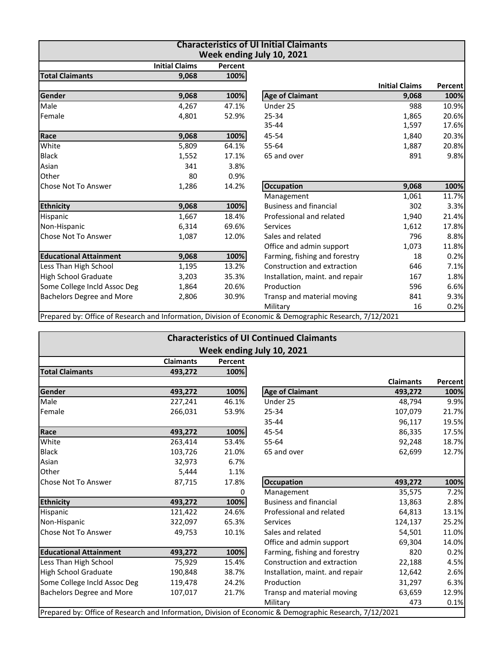| <b>Characteristics of UI Initial Claimants</b><br>Week ending July 10, 2021 |                       |         |                                                                                                         |                       |         |  |
|-----------------------------------------------------------------------------|-----------------------|---------|---------------------------------------------------------------------------------------------------------|-----------------------|---------|--|
|                                                                             | <b>Initial Claims</b> | Percent |                                                                                                         |                       |         |  |
| <b>Total Claimants</b>                                                      | 9.068                 | 100%    |                                                                                                         |                       |         |  |
|                                                                             |                       |         |                                                                                                         | <b>Initial Claims</b> | Percent |  |
| Gender                                                                      | 9,068                 | 100%    | <b>Age of Claimant</b>                                                                                  | 9,068                 | 100%    |  |
| Male                                                                        | 4,267                 | 47.1%   | Under 25                                                                                                | 988                   | 10.9%   |  |
| Female                                                                      | 4,801                 | 52.9%   | 25-34                                                                                                   | 1,865                 | 20.6%   |  |
|                                                                             |                       |         | 35-44                                                                                                   | 1,597                 | 17.6%   |  |
| Race                                                                        | 9,068                 | 100%    | 45-54                                                                                                   | 1,840                 | 20.3%   |  |
| White                                                                       | 5,809                 | 64.1%   | 55-64                                                                                                   | 1,887                 | 20.8%   |  |
| <b>Black</b>                                                                | 1,552                 | 17.1%   | 65 and over                                                                                             | 891                   | 9.8%    |  |
| Asian                                                                       | 341                   | 3.8%    |                                                                                                         |                       |         |  |
| Other                                                                       | 80                    | 0.9%    |                                                                                                         |                       |         |  |
| Chose Not To Answer                                                         | 1,286                 | 14.2%   | <b>Occupation</b>                                                                                       | 9,068                 | 100%    |  |
|                                                                             |                       |         | Management                                                                                              | 1,061                 | 11.7%   |  |
| <b>Ethnicity</b>                                                            | 9,068                 | 100%    | <b>Business and financial</b>                                                                           | 302                   | 3.3%    |  |
| Hispanic                                                                    | 1,667                 | 18.4%   | Professional and related                                                                                | 1,940                 | 21.4%   |  |
| Non-Hispanic                                                                | 6,314                 | 69.6%   | <b>Services</b>                                                                                         | 1,612                 | 17.8%   |  |
| <b>Chose Not To Answer</b>                                                  | 1,087                 | 12.0%   | Sales and related                                                                                       | 796                   | 8.8%    |  |
|                                                                             |                       |         | Office and admin support                                                                                | 1,073                 | 11.8%   |  |
| <b>Educational Attainment</b>                                               | 9,068                 | 100%    | Farming, fishing and forestry                                                                           | 18                    | 0.2%    |  |
| Less Than High School                                                       | 1,195                 | 13.2%   | Construction and extraction                                                                             | 646                   | 7.1%    |  |
| High School Graduate                                                        | 3,203                 | 35.3%   | Installation, maint. and repair                                                                         | 167                   | 1.8%    |  |
| Some College Incld Assoc Deg                                                | 1,864                 | 20.6%   | Production                                                                                              | 596                   | 6.6%    |  |
| <b>Bachelors Degree and More</b>                                            | 2,806                 | 30.9%   | Transp and material moving                                                                              | 841                   | 9.3%    |  |
|                                                                             |                       |         | Military                                                                                                | 16                    | 0.2%    |  |
|                                                                             |                       |         | Prepared by: Office of Research and Information, Division of Economic & Demographic Research, 7/12/2021 |                       |         |  |

| <b>Characteristics of UI Continued Claimants</b> |                  |         |                                                                                                         |                  |         |  |  |
|--------------------------------------------------|------------------|---------|---------------------------------------------------------------------------------------------------------|------------------|---------|--|--|
| Week ending July 10, 2021                        |                  |         |                                                                                                         |                  |         |  |  |
|                                                  | <b>Claimants</b> | Percent |                                                                                                         |                  |         |  |  |
| <b>Total Claimants</b>                           | 493,272          | 100%    |                                                                                                         |                  |         |  |  |
|                                                  |                  |         |                                                                                                         | <b>Claimants</b> | Percent |  |  |
| Gender                                           | 493,272          | 100%    | <b>Age of Claimant</b>                                                                                  | 493,272          | 100%    |  |  |
| Male                                             | 227,241          | 46.1%   | Under 25                                                                                                | 48,794           | 9.9%    |  |  |
| Female                                           | 266,031          | 53.9%   | 25-34                                                                                                   | 107,079          | 21.7%   |  |  |
|                                                  |                  |         | 35-44                                                                                                   | 96,117           | 19.5%   |  |  |
| Race                                             | 493,272          | 100%    | 45-54                                                                                                   | 86,335           | 17.5%   |  |  |
| White                                            | 263,414          | 53.4%   | 55-64                                                                                                   | 92,248           | 18.7%   |  |  |
| <b>Black</b>                                     | 103,726          | 21.0%   | 65 and over                                                                                             | 62,699           | 12.7%   |  |  |
| Asian                                            | 32,973           | 6.7%    |                                                                                                         |                  |         |  |  |
| Other                                            | 5,444            | 1.1%    |                                                                                                         |                  |         |  |  |
| Chose Not To Answer                              | 87,715           | 17.8%   | <b>Occupation</b>                                                                                       | 493,272          | 100%    |  |  |
|                                                  |                  | 0       | Management                                                                                              | 35,575           | 7.2%    |  |  |
| <b>Ethnicity</b>                                 | 493,272          | 100%    | <b>Business and financial</b>                                                                           | 13,863           | 2.8%    |  |  |
| Hispanic                                         | 121,422          | 24.6%   | Professional and related                                                                                | 64,813           | 13.1%   |  |  |
| Non-Hispanic                                     | 322,097          | 65.3%   | Services                                                                                                | 124,137          | 25.2%   |  |  |
| Chose Not To Answer                              | 49,753           | 10.1%   | Sales and related                                                                                       | 54,501           | 11.0%   |  |  |
|                                                  |                  |         | Office and admin support                                                                                | 69,304           | 14.0%   |  |  |
| <b>Educational Attainment</b>                    | 493,272          | 100%    | Farming, fishing and forestry                                                                           | 820              | 0.2%    |  |  |
| Less Than High School                            | 75,929           | 15.4%   | Construction and extraction                                                                             | 22,188           | 4.5%    |  |  |
| <b>High School Graduate</b>                      | 190,848          | 38.7%   | Installation, maint. and repair                                                                         | 12,642           | 2.6%    |  |  |
| Some College Incld Assoc Deg                     | 119,478          | 24.2%   | Production                                                                                              | 31,297           | 6.3%    |  |  |
| <b>Bachelors Degree and More</b>                 | 107,017          | 21.7%   | Transp and material moving                                                                              | 63,659           | 12.9%   |  |  |
|                                                  |                  |         | Military                                                                                                | 473              | 0.1%    |  |  |
|                                                  |                  |         | Prepared by: Office of Research and Information, Division of Economic & Demographic Research, 7/12/2021 |                  |         |  |  |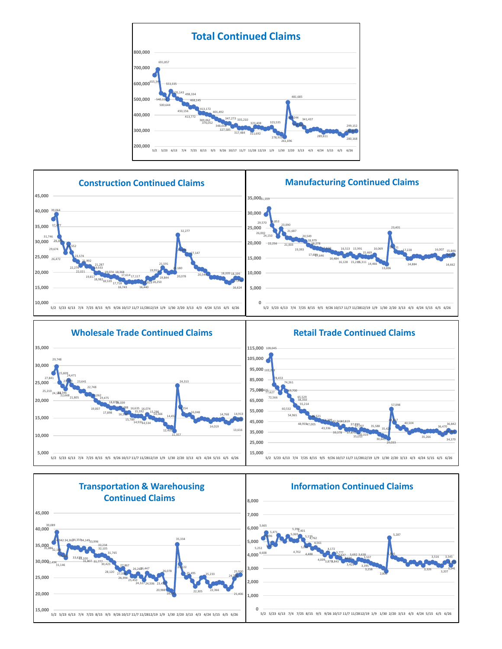